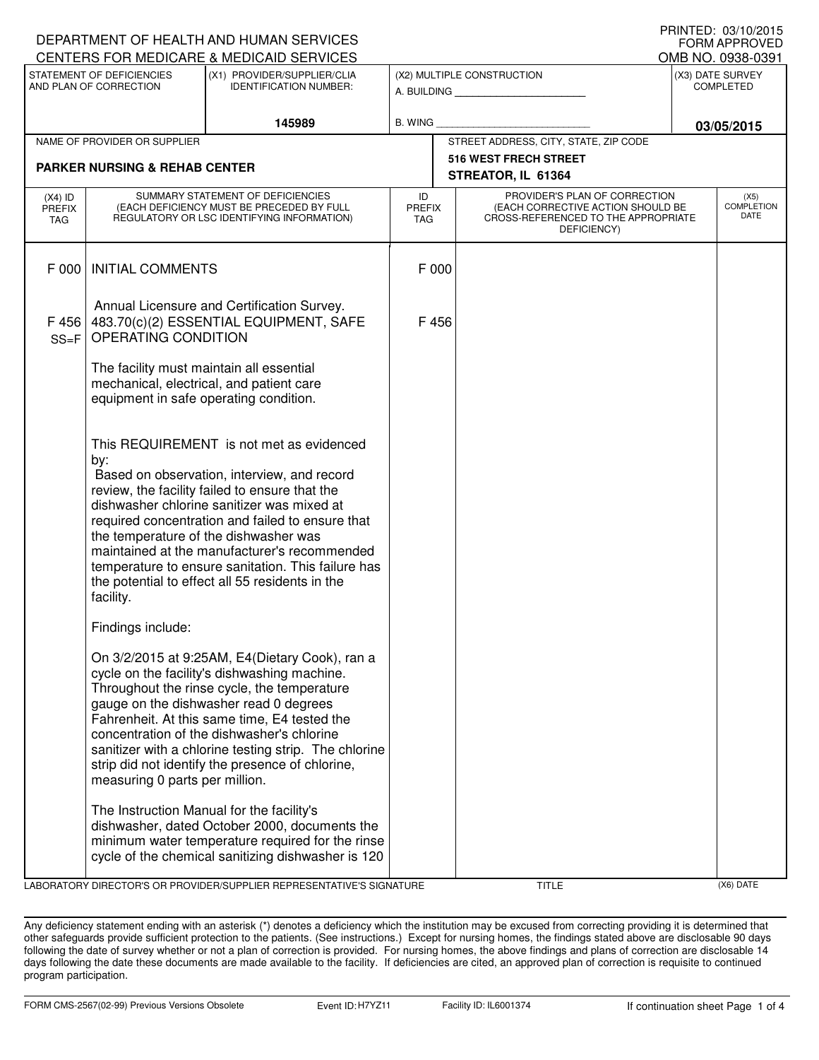| DEPARTMENT OF HEALTH AND HUMAN SERVICES             |                                                                                                                                                                                                                                                                                                                                                                                                                                                                   | <b>FORM APPROVED</b>                                                                                                                                                                                                                                                                                                                                                                                                                                                                                                                                          |                                                              |  |                                                                                                                          |                                      |                                   |
|-----------------------------------------------------|-------------------------------------------------------------------------------------------------------------------------------------------------------------------------------------------------------------------------------------------------------------------------------------------------------------------------------------------------------------------------------------------------------------------------------------------------------------------|---------------------------------------------------------------------------------------------------------------------------------------------------------------------------------------------------------------------------------------------------------------------------------------------------------------------------------------------------------------------------------------------------------------------------------------------------------------------------------------------------------------------------------------------------------------|--------------------------------------------------------------|--|--------------------------------------------------------------------------------------------------------------------------|--------------------------------------|-----------------------------------|
|                                                     |                                                                                                                                                                                                                                                                                                                                                                                                                                                                   | CENTERS FOR MEDICARE & MEDICAID SERVICES                                                                                                                                                                                                                                                                                                                                                                                                                                                                                                                      |                                                              |  |                                                                                                                          |                                      | OMB NO. 0938-0391                 |
| STATEMENT OF DEFICIENCIES<br>AND PLAN OF CORRECTION |                                                                                                                                                                                                                                                                                                                                                                                                                                                                   | (X1) PROVIDER/SUPPLIER/CLIA<br><b>IDENTIFICATION NUMBER:</b>                                                                                                                                                                                                                                                                                                                                                                                                                                                                                                  | (X2) MULTIPLE CONSTRUCTION<br>A. BUILDING <b>A. BUILDING</b> |  |                                                                                                                          | (X3) DATE SURVEY<br><b>COMPLETED</b> |                                   |
|                                                     |                                                                                                                                                                                                                                                                                                                                                                                                                                                                   | 145989                                                                                                                                                                                                                                                                                                                                                                                                                                                                                                                                                        | <b>B. WING</b>                                               |  |                                                                                                                          |                                      | 03/05/2015                        |
|                                                     | NAME OF PROVIDER OR SUPPLIER                                                                                                                                                                                                                                                                                                                                                                                                                                      |                                                                                                                                                                                                                                                                                                                                                                                                                                                                                                                                                               |                                                              |  | STREET ADDRESS, CITY, STATE, ZIP CODE                                                                                    |                                      |                                   |
|                                                     | <b>PARKER NURSING &amp; REHAB CENTER</b>                                                                                                                                                                                                                                                                                                                                                                                                                          |                                                                                                                                                                                                                                                                                                                                                                                                                                                                                                                                                               |                                                              |  | 516 WEST FRECH STREET<br>STREATOR, IL 61364                                                                              |                                      |                                   |
| $(X4)$ ID<br>PREFIX<br>TAG                          | SUMMARY STATEMENT OF DEFICIENCIES<br>(EACH DEFICIENCY MUST BE PRECEDED BY FULL<br>REGULATORY OR LSC IDENTIFYING INFORMATION)                                                                                                                                                                                                                                                                                                                                      |                                                                                                                                                                                                                                                                                                                                                                                                                                                                                                                                                               | ID<br><b>PREFIX</b><br>TAG                                   |  | PROVIDER'S PLAN OF CORRECTION<br>(EACH CORRECTIVE ACTION SHOULD BE<br>CROSS-REFERENCED TO THE APPROPRIATE<br>DEFICIENCY) |                                      | (X5)<br><b>COMPLETION</b><br>DATE |
| F 000                                               | <b>INITIAL COMMENTS</b>                                                                                                                                                                                                                                                                                                                                                                                                                                           |                                                                                                                                                                                                                                                                                                                                                                                                                                                                                                                                                               | F 000                                                        |  |                                                                                                                          |                                      |                                   |
| F 456<br>$SS = F$                                   | Annual Licensure and Certification Survey.<br>483.70(c)(2) ESSENTIAL EQUIPMENT, SAFE<br>OPERATING CONDITION                                                                                                                                                                                                                                                                                                                                                       |                                                                                                                                                                                                                                                                                                                                                                                                                                                                                                                                                               | F456                                                         |  |                                                                                                                          |                                      |                                   |
|                                                     | The facility must maintain all essential<br>equipment in safe operating condition.                                                                                                                                                                                                                                                                                                                                                                                | mechanical, electrical, and patient care                                                                                                                                                                                                                                                                                                                                                                                                                                                                                                                      |                                                              |  |                                                                                                                          |                                      |                                   |
|                                                     | This REQUIREMENT is not met as evidenced<br>by:<br>Based on observation, interview, and record<br>review, the facility failed to ensure that the<br>dishwasher chlorine sanitizer was mixed at<br>required concentration and failed to ensure that<br>the temperature of the dishwasher was<br>maintained at the manufacturer's recommended<br>temperature to ensure sanitation. This failure has<br>the potential to effect all 55 residents in the<br>facility. |                                                                                                                                                                                                                                                                                                                                                                                                                                                                                                                                                               |                                                              |  |                                                                                                                          |                                      |                                   |
|                                                     | Findings include:<br>measuring 0 parts per million.<br>The Instruction Manual for the facility's                                                                                                                                                                                                                                                                                                                                                                  | On 3/2/2015 at 9:25AM, E4(Dietary Cook), ran a<br>cycle on the facility's dishwashing machine.<br>Throughout the rinse cycle, the temperature<br>gauge on the dishwasher read 0 degrees<br>Fahrenheit. At this same time, E4 tested the<br>concentration of the dishwasher's chlorine<br>sanitizer with a chlorine testing strip. The chlorine<br>strip did not identify the presence of chlorine,<br>dishwasher, dated October 2000, documents the<br>minimum water temperature required for the rinse<br>cycle of the chemical sanitizing dishwasher is 120 |                                                              |  |                                                                                                                          |                                      |                                   |

LABORATORY DIRECTOR'S OR PROVIDER/SUPPLIER REPRESENTATIVE'S SIGNATURE TITLE TITLE THE TITLE (X6) DATE

Any deficiency statement ending with an asterisk (\*) denotes a deficiency which the institution may be excused from correcting providing it is determined that other safeguards provide sufficient protection to the patients. (See instructions.) Except for nursing homes, the findings stated above are disclosable 90 days following the date of survey whether or not a plan of correction is provided. For nursing homes, the above findings and plans of correction are disclosable 14 days following the date these documents are made available to the facility. If deficiencies are cited, an approved plan of correction is requisite to continued program participation.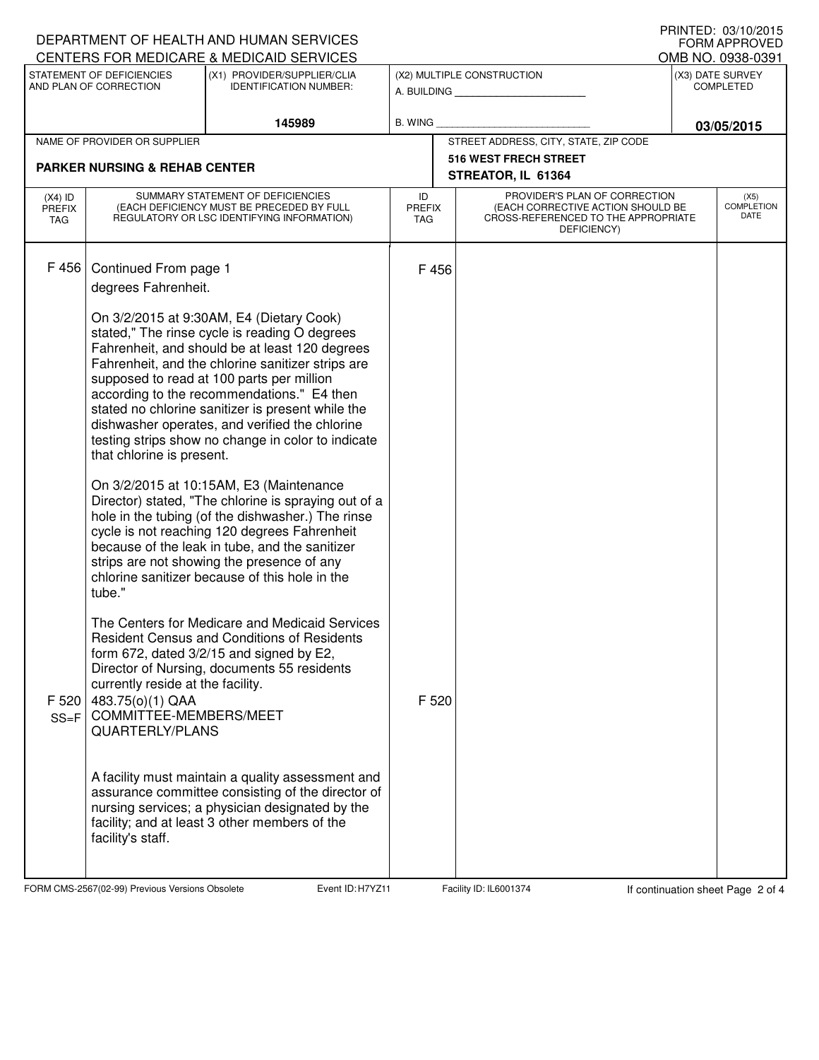|                                   | DEPARTMENT OF HEALTH AND HUMAN SERVICES                                                                                      |                                                                                                                                                                                                                                                                                                                                                                                                                                                          | U INIVILD. VJ/IV/LVIJ<br><b>FORM APPROVED</b> |       |                                                                                                                          |                                       |                                   |  |  |
|-----------------------------------|------------------------------------------------------------------------------------------------------------------------------|----------------------------------------------------------------------------------------------------------------------------------------------------------------------------------------------------------------------------------------------------------------------------------------------------------------------------------------------------------------------------------------------------------------------------------------------------------|-----------------------------------------------|-------|--------------------------------------------------------------------------------------------------------------------------|---------------------------------------|-----------------------------------|--|--|
|                                   | STATEMENT OF DEFICIENCIES                                                                                                    | CENTERS FOR MEDICARE & MEDICAID SERVICES<br>(X1) PROVIDER/SUPPLIER/CLIA                                                                                                                                                                                                                                                                                                                                                                                  |                                               |       | (X2) MULTIPLE CONSTRUCTION                                                                                               | OMB NO. 0938-0391<br>(X3) DATE SURVEY |                                   |  |  |
| AND PLAN OF CORRECTION            |                                                                                                                              | <b>IDENTIFICATION NUMBER:</b>                                                                                                                                                                                                                                                                                                                                                                                                                            |                                               |       | A. BUILDING                                                                                                              |                                       | <b>COMPLETED</b>                  |  |  |
|                                   |                                                                                                                              | 145989                                                                                                                                                                                                                                                                                                                                                                                                                                                   | <b>B. WING</b>                                |       |                                                                                                                          | 03/05/2015                            |                                   |  |  |
|                                   | NAME OF PROVIDER OR SUPPLIER                                                                                                 |                                                                                                                                                                                                                                                                                                                                                                                                                                                          |                                               |       | STREET ADDRESS, CITY, STATE, ZIP CODE                                                                                    |                                       |                                   |  |  |
|                                   | <b>PARKER NURSING &amp; REHAB CENTER</b>                                                                                     |                                                                                                                                                                                                                                                                                                                                                                                                                                                          |                                               |       | <b>516 WEST FRECH STREET</b>                                                                                             |                                       |                                   |  |  |
|                                   |                                                                                                                              |                                                                                                                                                                                                                                                                                                                                                                                                                                                          | STREATOR, IL 61364                            |       |                                                                                                                          |                                       |                                   |  |  |
| $(X4)$ ID<br><b>PREFIX</b><br>TAG | SUMMARY STATEMENT OF DEFICIENCIES<br>(EACH DEFICIENCY MUST BE PRECEDED BY FULL<br>REGULATORY OR LSC IDENTIFYING INFORMATION) |                                                                                                                                                                                                                                                                                                                                                                                                                                                          | ID<br><b>PREFIX</b><br><b>TAG</b>             |       | PROVIDER'S PLAN OF CORRECTION<br>(EACH CORRECTIVE ACTION SHOULD BE<br>CROSS-REFERENCED TO THE APPROPRIATE<br>DEFICIENCY) |                                       | (X5)<br><b>COMPLETION</b><br>DATE |  |  |
| F 456                             | Continued From page 1<br>degrees Fahrenheit.                                                                                 |                                                                                                                                                                                                                                                                                                                                                                                                                                                          |                                               | F 456 |                                                                                                                          |                                       |                                   |  |  |
|                                   | that chlorine is present.                                                                                                    | On 3/2/2015 at 9:30AM, E4 (Dietary Cook)<br>stated," The rinse cycle is reading O degrees<br>Fahrenheit, and should be at least 120 degrees<br>Fahrenheit, and the chlorine sanitizer strips are<br>supposed to read at 100 parts per million<br>according to the recommendations." E4 then<br>stated no chlorine sanitizer is present while the<br>dishwasher operates, and verified the chlorine<br>testing strips show no change in color to indicate |                                               |       |                                                                                                                          |                                       |                                   |  |  |
|                                   | tube."                                                                                                                       | On 3/2/2015 at 10:15AM, E3 (Maintenance<br>Director) stated, "The chlorine is spraying out of a<br>hole in the tubing (of the dishwasher.) The rinse<br>cycle is not reaching 120 degrees Fahrenheit<br>because of the leak in tube, and the sanitizer<br>strips are not showing the presence of any<br>chlorine sanitizer because of this hole in the                                                                                                   |                                               |       |                                                                                                                          |                                       |                                   |  |  |
| F 520<br>$SS = F$                 | currently reside at the facility.<br>483.75(o)(1) QAA<br>COMMITTEE-MEMBERS/MEET<br><b>QUARTERLY/PLANS</b>                    | The Centers for Medicare and Medicaid Services<br><b>Resident Census and Conditions of Residents</b><br>form 672, dated 3/2/15 and signed by E2,<br>Director of Nursing, documents 55 residents                                                                                                                                                                                                                                                          |                                               | F 520 |                                                                                                                          |                                       |                                   |  |  |
|                                   | facility's staff.                                                                                                            | A facility must maintain a quality assessment and<br>assurance committee consisting of the director of<br>nursing services; a physician designated by the<br>facility; and at least 3 other members of the                                                                                                                                                                                                                                               |                                               |       |                                                                                                                          |                                       |                                   |  |  |

FORM CMS-2567(02-99) Previous Versions Obsolete Event ID: H7YZ11 Facility ID: IL6001374 If continuation sheet Page 2 of 4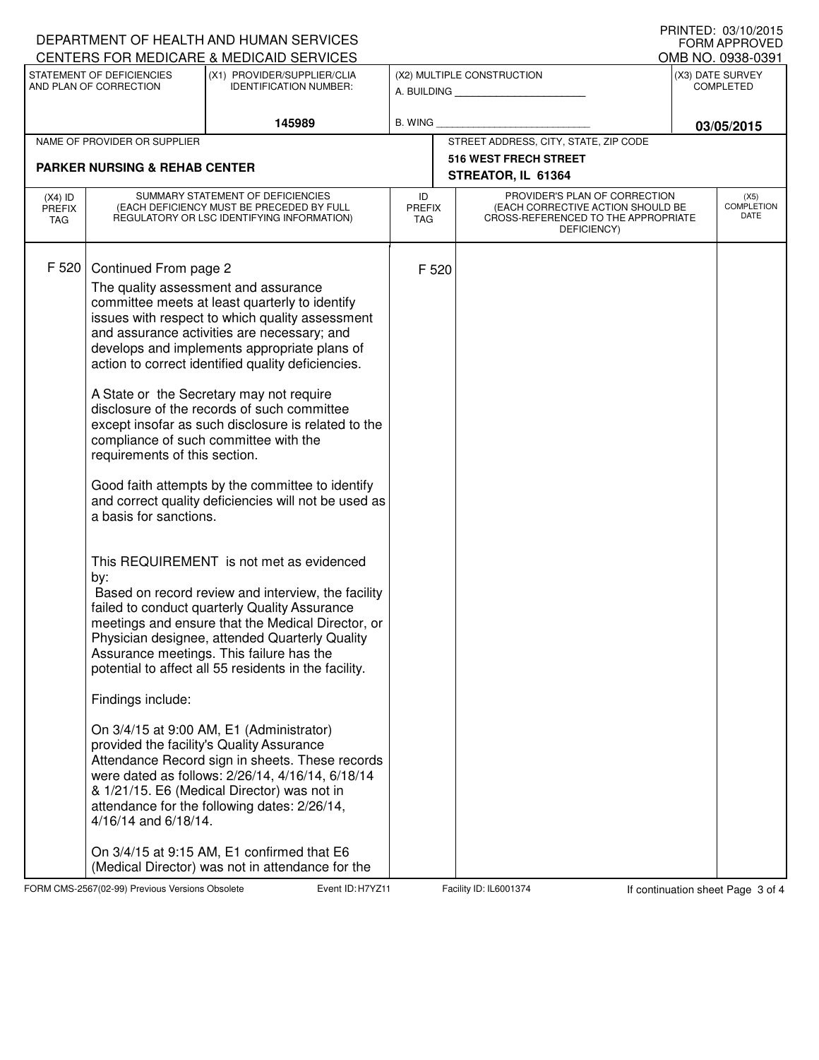|                                          |                                                                                                                                      | DEPARTMENT OF HEALTH AND HUMAN SERVICES                                                                                                                                                                                                                                                                                                                                                                                                                                                                                                                                                                                                                                                                                                                                                                                                                                                                                                                                                                                                                                                                                                                                                                                                                                                                                                                               |                                           |                             |                                                                                                                          |                                      | U ININTED. VJ/IV/ZVIJ<br><b>FORM APPROVED</b> |  |  |
|------------------------------------------|--------------------------------------------------------------------------------------------------------------------------------------|-----------------------------------------------------------------------------------------------------------------------------------------------------------------------------------------------------------------------------------------------------------------------------------------------------------------------------------------------------------------------------------------------------------------------------------------------------------------------------------------------------------------------------------------------------------------------------------------------------------------------------------------------------------------------------------------------------------------------------------------------------------------------------------------------------------------------------------------------------------------------------------------------------------------------------------------------------------------------------------------------------------------------------------------------------------------------------------------------------------------------------------------------------------------------------------------------------------------------------------------------------------------------------------------------------------------------------------------------------------------------|-------------------------------------------|-----------------------------|--------------------------------------------------------------------------------------------------------------------------|--------------------------------------|-----------------------------------------------|--|--|
|                                          | STATEMENT OF DEFICIENCIES                                                                                                            | CENTERS FOR MEDICARE & MEDICAID SERVICES<br>(X1) PROVIDER/SUPPLIER/CLIA                                                                                                                                                                                                                                                                                                                                                                                                                                                                                                                                                                                                                                                                                                                                                                                                                                                                                                                                                                                                                                                                                                                                                                                                                                                                                               |                                           |                             |                                                                                                                          |                                      | OMB NO. 0938-0391                             |  |  |
| AND PLAN OF CORRECTION                   |                                                                                                                                      | <b>IDENTIFICATION NUMBER:</b>                                                                                                                                                                                                                                                                                                                                                                                                                                                                                                                                                                                                                                                                                                                                                                                                                                                                                                                                                                                                                                                                                                                                                                                                                                                                                                                                         | (X2) MULTIPLE CONSTRUCTION<br>A. BUILDING |                             |                                                                                                                          | (X3) DATE SURVEY<br><b>COMPLETED</b> |                                               |  |  |
|                                          |                                                                                                                                      | 145989                                                                                                                                                                                                                                                                                                                                                                                                                                                                                                                                                                                                                                                                                                                                                                                                                                                                                                                                                                                                                                                                                                                                                                                                                                                                                                                                                                | <b>B. WING</b>                            |                             |                                                                                                                          | 03/05/2015                           |                                               |  |  |
|                                          | NAME OF PROVIDER OR SUPPLIER                                                                                                         |                                                                                                                                                                                                                                                                                                                                                                                                                                                                                                                                                                                                                                                                                                                                                                                                                                                                                                                                                                                                                                                                                                                                                                                                                                                                                                                                                                       |                                           |                             | STREET ADDRESS, CITY, STATE, ZIP CODE                                                                                    |                                      |                                               |  |  |
|                                          | <b>PARKER NURSING &amp; REHAB CENTER</b>                                                                                             |                                                                                                                                                                                                                                                                                                                                                                                                                                                                                                                                                                                                                                                                                                                                                                                                                                                                                                                                                                                                                                                                                                                                                                                                                                                                                                                                                                       |                                           |                             | <b>516 WEST FRECH STREET</b>                                                                                             |                                      |                                               |  |  |
|                                          |                                                                                                                                      |                                                                                                                                                                                                                                                                                                                                                                                                                                                                                                                                                                                                                                                                                                                                                                                                                                                                                                                                                                                                                                                                                                                                                                                                                                                                                                                                                                       | STREATOR, IL 61364                        |                             |                                                                                                                          |                                      |                                               |  |  |
| $(X4)$ ID<br><b>PREFIX</b><br><b>TAG</b> | SUMMARY STATEMENT OF DEFICIENCIES<br>(EACH DEFICIENCY MUST BE PRECEDED BY FULL<br>REGULATORY OR LSC IDENTIFYING INFORMATION)         |                                                                                                                                                                                                                                                                                                                                                                                                                                                                                                                                                                                                                                                                                                                                                                                                                                                                                                                                                                                                                                                                                                                                                                                                                                                                                                                                                                       |                                           | <b>PREFIX</b><br><b>TAG</b> | PROVIDER'S PLAN OF CORRECTION<br>(EACH CORRECTIVE ACTION SHOULD BE<br>CROSS-REFERENCED TO THE APPROPRIATE<br>DEFICIENCY) |                                      | (X5)<br><b>COMPLETION</b><br>DATE             |  |  |
| F 520                                    | Continued From page 2<br>requirements of this section.<br>a basis for sanctions.<br>by:<br>Findings include:<br>4/16/14 and 6/18/14. | The quality assessment and assurance<br>committee meets at least quarterly to identify<br>issues with respect to which quality assessment<br>and assurance activities are necessary; and<br>develops and implements appropriate plans of<br>action to correct identified quality deficiencies.<br>A State or the Secretary may not require<br>disclosure of the records of such committee<br>except insofar as such disclosure is related to the<br>compliance of such committee with the<br>Good faith attempts by the committee to identify<br>and correct quality deficiencies will not be used as<br>This REQUIREMENT is not met as evidenced<br>Based on record review and interview, the facility<br>failed to conduct quarterly Quality Assurance<br>meetings and ensure that the Medical Director, or<br>Physician designee, attended Quarterly Quality<br>Assurance meetings. This failure has the<br>potential to affect all 55 residents in the facility.<br>On 3/4/15 at 9:00 AM, E1 (Administrator)<br>provided the facility's Quality Assurance<br>Attendance Record sign in sheets. These records<br>were dated as follows: 2/26/14, 4/16/14, 6/18/14<br>& 1/21/15. E6 (Medical Director) was not in<br>attendance for the following dates: 2/26/14,<br>On 3/4/15 at 9:15 AM, E1 confirmed that E6<br>(Medical Director) was not in attendance for the |                                           | F 520                       |                                                                                                                          |                                      |                                               |  |  |

FORM CMS-2567(02-99) Previous Versions Obsolete Event ID: H7YZ11 Facility ID: IL6001374 If continuation sheet Page 3 of 4